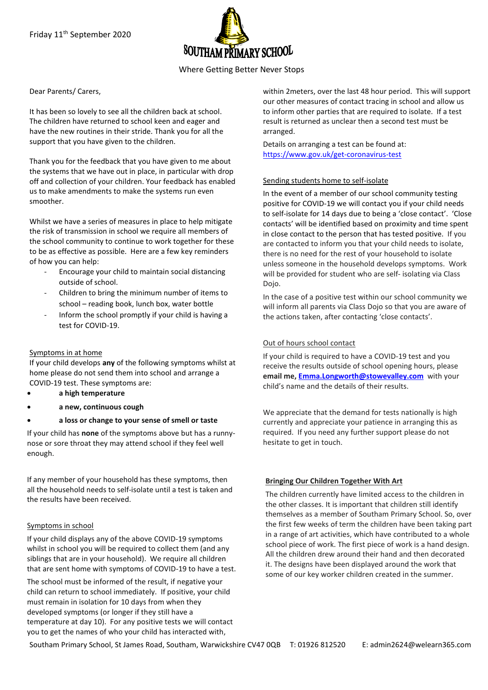

# Where Getting Better Never Stops

Dear Parents/ Carers,

It has been so lovely to see all the children back at school. The children have returned to school keen and eager and have the new routines in their stride. Thank you for all the support that you have given to the children.

Thank you for the feedback that you have given to me about the systems that we have out in place, in particular with drop off and collection of your children. Your feedback has enabled us to make amendments to make the systems run even smoother.

Whilst we have a series of measures in place to help mitigate the risk of transmission in school we require all members of the school community to continue to work together for these to be as effective as possible. Here are a few key reminders of how you can help:

- Encourage your child to maintain social distancing outside of school.
- Children to bring the minimum number of items to school – reading book, lunch box, water bottle
- Inform the school promptly if your child is having a test for COVID-19.

## Symptoms in at home

If your child develops **any** of the following symptoms whilst at home please do not send them into school and arrange a COVID-19 test. These symptoms are:

- **a high temperature**
- **a new, continuous cough**
- **a loss or change to your sense of smell or taste**

If your child has **none** of the symptoms above but has a runnynose or sore throat they may attend school if they feel well enough.

If any member of your household has these symptoms, then all the household needs to self-isolate until a test is taken and the results have been received.

### Symptoms in school

If your child displays any of the above COVID-19 symptoms whilst in school you will be required to collect them (and any siblings that are in your household). We require all children that are sent home with symptoms of COVID-19 to have a test.

The school must be informed of the result, if negative your child can return to school immediately. If positive, your child must remain in isolation for 10 days from when they developed symptoms (or longer if they still have a temperature at day 10). For any positive tests we will contact you to get the names of who your child has interacted with,

within 2meters, over the last 48 hour period. This will support our other measures of contact tracing in school and allow us to inform other parties that are required to isolate. If a test result is returned as unclear then a second test must be arranged.

Details on arranging a test can be found at: <https://www.gov.uk/get-coronavirus-test>

### Sending students home to self-isolate

In the event of a member of our school community testing positive for COVID-19 we will contact you if your child needs to self-isolate for 14 days due to being a 'close contact'. 'Close contacts' will be identified based on proximity and time spent in close contact to the person that has tested positive. If you are contacted to inform you that your child needs to isolate, there is no need for the rest of your household to isolate unless someone in the household develops symptoms. Work will be provided for student who are self- isolating via Class Dojo.

In the case of a positive test within our school community we will inform all parents via Class Dojo so that you are aware of the actions taken, after contacting 'close contacts'.

## Out of hours school contact

If your child is required to have a COVID-19 test and you receive the results outside of school opening hours, please **email me, [Emma.Longworth@stowevalley.com](mailto:Emma.Longworth@stowevalley.com)** with your child's name and the details of their results.

We appreciate that the demand for tests nationally is high currently and appreciate your patience in arranging this as required. If you need any further support please do not hesitate to get in touch.

### **Bringing Our Children Together With Art**

The children currently have limited access to the children in the other classes. It is important that children still identify themselves as a member of Southam Primary School. So, over the first few weeks of term the children have been taking part in a range of art activities, which have contributed to a whole school piece of work. The first piece of work is a hand design. All the children drew around their hand and then decorated it. The designs have been displayed around the work that some of our key worker children created in the summer.

Southam Primary School, St James Road, Southam, Warwickshire CV47 0QB T: 01926 812520 E: admin2624@welearn365.com